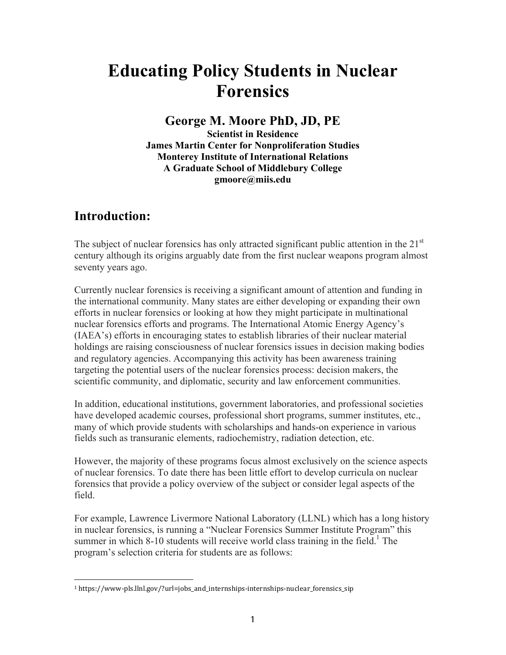# **Educating Policy Students in Nuclear Forensics**

# **George M. Moore PhD, JD, PE**

**Scientist in Residence James Martin Center for Nonproliferation Studies Monterey Institute of International Relations A Graduate School of Middlebury College gmoore@miis.edu**

# **Introduction:**

The subject of nuclear forensics has only attracted significant public attention in the  $21<sup>st</sup>$ century although its origins arguably date from the first nuclear weapons program almost seventy years ago.

Currently nuclear forensics is receiving a significant amount of attention and funding in the international community. Many states are either developing or expanding their own efforts in nuclear forensics or looking at how they might participate in multinational nuclear forensics efforts and programs. The International Atomic Energy Agency's (IAEA's) efforts in encouraging states to establish libraries of their nuclear material holdings are raising consciousness of nuclear forensics issues in decision making bodies and regulatory agencies. Accompanying this activity has been awareness training targeting the potential users of the nuclear forensics process: decision makers, the scientific community, and diplomatic, security and law enforcement communities.

In addition, educational institutions, government laboratories, and professional societies have developed academic courses, professional short programs, summer institutes, etc., many of which provide students with scholarships and hands-on experience in various fields such as transuranic elements, radiochemistry, radiation detection, etc.

However, the majority of these programs focus almost exclusively on the science aspects of nuclear forensics. To date there has been little effort to develop curricula on nuclear forensics that provide a policy overview of the subject or consider legal aspects of the field.

For example, Lawrence Livermore National Laboratory (LLNL) which has a long history in nuclear forensics, is running a "Nuclear Forensics Summer Institute Program" this summer in which 8-10 students will receive world class training in the field.<sup>1</sup> The program's selection criteria for students are as follows:

<sup>1</sup> https://www-pls.llnl.gov/?url=jobs\_and\_internships-internships-nuclear\_forensics\_sip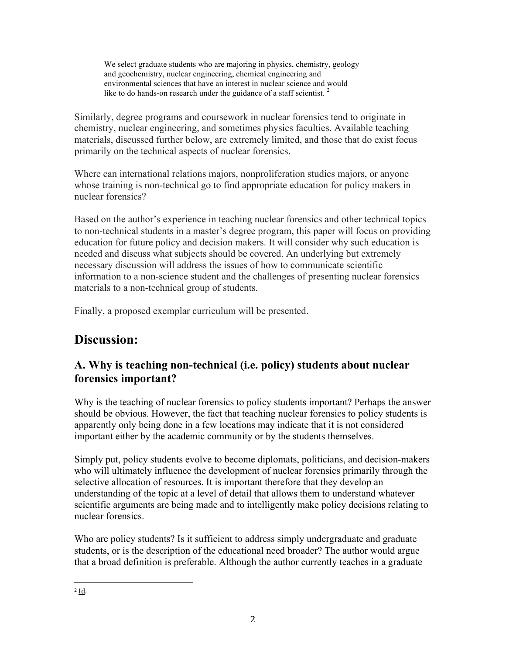We select graduate students who are majoring in physics, chemistry, geology and geochemistry, nuclear engineering, chemical engineering and environmental sciences that have an interest in nuclear science and would like to do hands-on research under the guidance of a staff scientist.  $2^{\circ}$ 

Similarly, degree programs and coursework in nuclear forensics tend to originate in chemistry, nuclear engineering, and sometimes physics faculties. Available teaching materials, discussed further below, are extremely limited, and those that do exist focus primarily on the technical aspects of nuclear forensics.

Where can international relations majors, nonproliferation studies majors, or anyone whose training is non-technical go to find appropriate education for policy makers in nuclear forensics?

Based on the author's experience in teaching nuclear forensics and other technical topics to non-technical students in a master's degree program, this paper will focus on providing education for future policy and decision makers. It will consider why such education is needed and discuss what subjects should be covered. An underlying but extremely necessary discussion will address the issues of how to communicate scientific information to a non-science student and the challenges of presenting nuclear forensics materials to a non-technical group of students.

Finally, a proposed exemplar curriculum will be presented.

# **Discussion:**

# **A. Why is teaching non-technical (i.e. policy) students about nuclear forensics important?**

Why is the teaching of nuclear forensics to policy students important? Perhaps the answer should be obvious. However, the fact that teaching nuclear forensics to policy students is apparently only being done in a few locations may indicate that it is not considered important either by the academic community or by the students themselves.

Simply put, policy students evolve to become diplomats, politicians, and decision-makers who will ultimately influence the development of nuclear forensics primarily through the selective allocation of resources. It is important therefore that they develop an understanding of the topic at a level of detail that allows them to understand whatever scientific arguments are being made and to intelligently make policy decisions relating to nuclear forensics.

Who are policy students? Is it sufficient to address simply undergraduate and graduate students, or is the description of the educational need broader? The author would argue that a broad definition is preferable. Although the author currently teaches in a graduate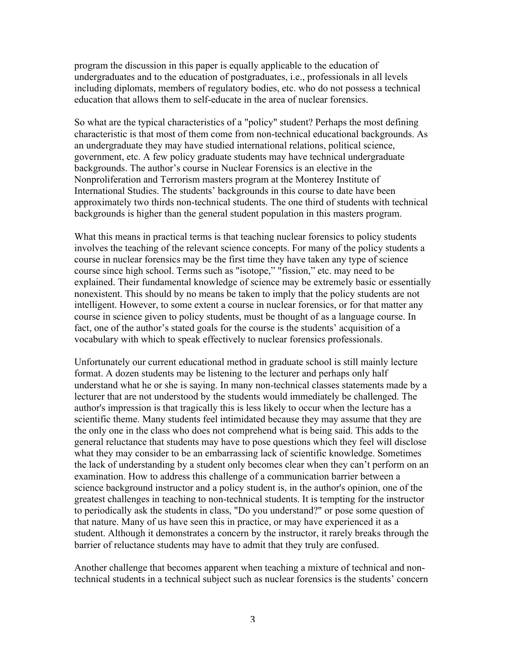program the discussion in this paper is equally applicable to the education of undergraduates and to the education of postgraduates, i.e., professionals in all levels including diplomats, members of regulatory bodies, etc. who do not possess a technical education that allows them to self-educate in the area of nuclear forensics.

So what are the typical characteristics of a "policy" student? Perhaps the most defining characteristic is that most of them come from non-technical educational backgrounds. As an undergraduate they may have studied international relations, political science, government, etc. A few policy graduate students may have technical undergraduate backgrounds. The author's course in Nuclear Forensics is an elective in the Nonproliferation and Terrorism masters program at the Monterey Institute of International Studies. The students' backgrounds in this course to date have been approximately two thirds non-technical students. The one third of students with technical backgrounds is higher than the general student population in this masters program.

What this means in practical terms is that teaching nuclear forensics to policy students involves the teaching of the relevant science concepts. For many of the policy students a course in nuclear forensics may be the first time they have taken any type of science course since high school. Terms such as "isotope," "fission," etc. may need to be explained. Their fundamental knowledge of science may be extremely basic or essentially nonexistent. This should by no means be taken to imply that the policy students are not intelligent. However, to some extent a course in nuclear forensics, or for that matter any course in science given to policy students, must be thought of as a language course. In fact, one of the author's stated goals for the course is the students' acquisition of a vocabulary with which to speak effectively to nuclear forensics professionals.

Unfortunately our current educational method in graduate school is still mainly lecture format. A dozen students may be listening to the lecturer and perhaps only half understand what he or she is saying. In many non-technical classes statements made by a lecturer that are not understood by the students would immediately be challenged. The author's impression is that tragically this is less likely to occur when the lecture has a scientific theme. Many students feel intimidated because they may assume that they are the only one in the class who does not comprehend what is being said. This adds to the general reluctance that students may have to pose questions which they feel will disclose what they may consider to be an embarrassing lack of scientific knowledge. Sometimes the lack of understanding by a student only becomes clear when they can't perform on an examination. How to address this challenge of a communication barrier between a science background instructor and a policy student is, in the author's opinion, one of the greatest challenges in teaching to non-technical students. It is tempting for the instructor to periodically ask the students in class, "Do you understand?" or pose some question of that nature. Many of us have seen this in practice, or may have experienced it as a student. Although it demonstrates a concern by the instructor, it rarely breaks through the barrier of reluctance students may have to admit that they truly are confused.

Another challenge that becomes apparent when teaching a mixture of technical and nontechnical students in a technical subject such as nuclear forensics is the students' concern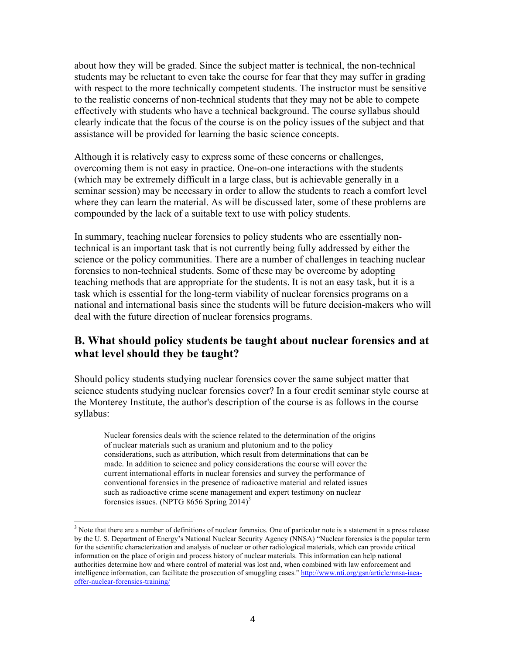about how they will be graded. Since the subject matter is technical, the non-technical students may be reluctant to even take the course for fear that they may suffer in grading with respect to the more technically competent students. The instructor must be sensitive to the realistic concerns of non-technical students that they may not be able to compete effectively with students who have a technical background. The course syllabus should clearly indicate that the focus of the course is on the policy issues of the subject and that assistance will be provided for learning the basic science concepts.

Although it is relatively easy to express some of these concerns or challenges, overcoming them is not easy in practice. One-on-one interactions with the students (which may be extremely difficult in a large class, but is achievable generally in a seminar session) may be necessary in order to allow the students to reach a comfort level where they can learn the material. As will be discussed later, some of these problems are compounded by the lack of a suitable text to use with policy students.

In summary, teaching nuclear forensics to policy students who are essentially nontechnical is an important task that is not currently being fully addressed by either the science or the policy communities. There are a number of challenges in teaching nuclear forensics to non-technical students. Some of these may be overcome by adopting teaching methods that are appropriate for the students. It is not an easy task, but it is a task which is essential for the long-term viability of nuclear forensics programs on a national and international basis since the students will be future decision-makers who will deal with the future direction of nuclear forensics programs.

## **B. What should policy students be taught about nuclear forensics and at what level should they be taught?**

Should policy students studying nuclear forensics cover the same subject matter that science students studying nuclear forensics cover? In a four credit seminar style course at the Monterey Institute, the author's description of the course is as follows in the course syllabus:

Nuclear forensics deals with the science related to the determination of the origins of nuclear materials such as uranium and plutonium and to the policy considerations, such as attribution, which result from determinations that can be made. In addition to science and policy considerations the course will cover the current international efforts in nuclear forensics and survey the performance of conventional forensics in the presence of radioactive material and related issues such as radioactive crime scene management and expert testimony on nuclear forensics issues. (NPTG 8656 Spring  $2014$ )<sup>3</sup>

 $3$  Note that there are a number of definitions of nuclear forensics. One of particular note is a statement in a press release by the U. S. Department of Energy's National Nuclear Security Agency (NNSA) "Nuclear forensics is the popular term for the scientific characterization and analysis of nuclear or other radiological materials, which can provide critical information on the place of origin and process history of nuclear materials. This information can help national authorities determine how and where control of material was lost and, when combined with law enforcement and intelligence information, can facilitate the prosecution of smuggling cases." http://www.nti.org/gsn/article/nnsa-iaeaoffer-nuclear-forensics-training/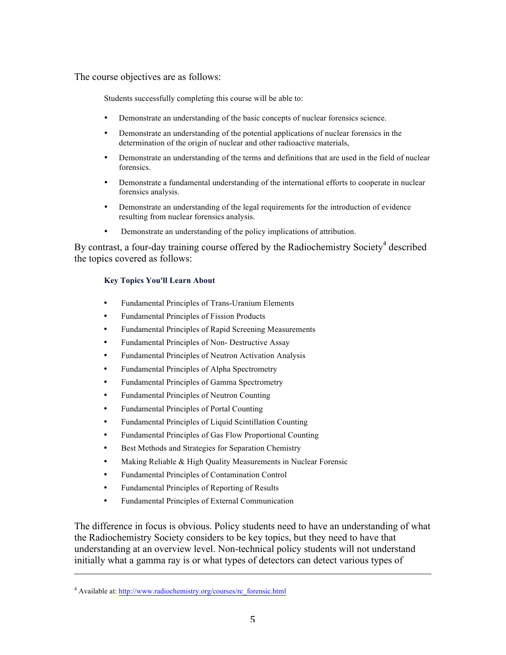The course objectives are as follows:

Students successfully completing this course will be able to:

- Demonstrate an understanding of the basic concepts of nuclear forensics science.
- Demonstrate an understanding of the potential applications of nuclear forensics in the determination of the origin of nuclear and other radioactive materials,
- Demonstrate an understanding of the terms and definitions that are used in the field of nuclear forensics.
- Demonstrate a fundamental understanding of the international efforts to cooperate in nuclear forensics analysis.
- Demonstrate an understanding of the legal requirements for the introduction of evidence resulting from nuclear forensics analysis.
- Demonstrate an understanding of the policy implications of attribution.

By contrast, a four-day training course offered by the Radiochemistry Society<sup>4</sup> described the topics covered as follows:

#### **Key Topics You'll Learn About**

- Fundamental Principles of Trans-Uranium Elements
- Fundamental Principles of Fission Products
- Fundamental Principles of Rapid Screening Measurements
- Fundamental Principles of Non- Destructive Assay
- Fundamental Principles of Neutron Activation Analysis
- Fundamental Principles of Alpha Spectrometry
- Fundamental Principles of Gamma Spectrometry
- Fundamental Principles of Neutron Counting
- Fundamental Principles of Portal Counting
- Fundamental Principles of Liquid Scintillation Counting
- Fundamental Principles of Gas Flow Proportional Counting
- Best Methods and Strategies for Separation Chemistry
- Making Reliable & High Quality Measurements in Nuclear Forensic
- Fundamental Principles of Contamination Control
- Fundamental Principles of Reporting of Results
- Fundamental Principles of External Communication

The difference in focus is obvious. Policy students need to have an understanding of what the Radiochemistry Society considers to be key topics, but they need to have that understanding at an overview level. Non-technical policy students will not understand initially what a gamma ray is or what types of detectors can detect various types of

<u> 1989 - Andrea San Andrea San Andrea San Andrea San Andrea San Andrea San Andrea San Andrea San Andrea San An</u>

<sup>4</sup> Available at: http://www.radiochemistry.org/courses/rc\_forensic.html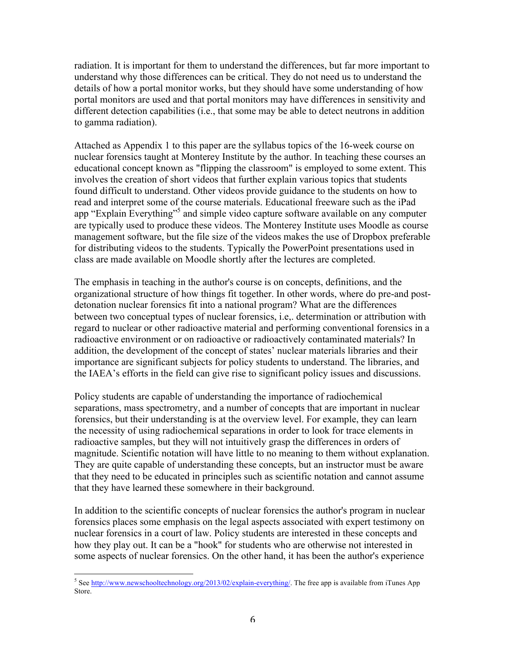radiation. It is important for them to understand the differences, but far more important to understand why those differences can be critical. They do not need us to understand the details of how a portal monitor works, but they should have some understanding of how portal monitors are used and that portal monitors may have differences in sensitivity and different detection capabilities (i.e., that some may be able to detect neutrons in addition to gamma radiation).

Attached as Appendix 1 to this paper are the syllabus topics of the 16-week course on nuclear forensics taught at Monterey Institute by the author. In teaching these courses an educational concept known as "flipping the classroom" is employed to some extent. This involves the creation of short videos that further explain various topics that students found difficult to understand. Other videos provide guidance to the students on how to read and interpret some of the course materials. Educational freeware such as the iPad app "Explain Everything"<sup>5</sup> and simple video capture software available on any computer are typically used to produce these videos. The Monterey Institute uses Moodle as course management software, but the file size of the videos makes the use of Dropbox preferable for distributing videos to the students. Typically the PowerPoint presentations used in class are made available on Moodle shortly after the lectures are completed.

The emphasis in teaching in the author's course is on concepts, definitions, and the organizational structure of how things fit together. In other words, where do pre-and postdetonation nuclear forensics fit into a national program? What are the differences between two conceptual types of nuclear forensics, i.e,. determination or attribution with regard to nuclear or other radioactive material and performing conventional forensics in a radioactive environment or on radioactive or radioactively contaminated materials? In addition, the development of the concept of states' nuclear materials libraries and their importance are significant subjects for policy students to understand. The libraries, and the IAEA's efforts in the field can give rise to significant policy issues and discussions.

Policy students are capable of understanding the importance of radiochemical separations, mass spectrometry, and a number of concepts that are important in nuclear forensics, but their understanding is at the overview level. For example, they can learn the necessity of using radiochemical separations in order to look for trace elements in radioactive samples, but they will not intuitively grasp the differences in orders of magnitude. Scientific notation will have little to no meaning to them without explanation. They are quite capable of understanding these concepts, but an instructor must be aware that they need to be educated in principles such as scientific notation and cannot assume that they have learned these somewhere in their background.

In addition to the scientific concepts of nuclear forensics the author's program in nuclear forensics places some emphasis on the legal aspects associated with expert testimony on nuclear forensics in a court of law. Policy students are interested in these concepts and how they play out. It can be a "hook" for students who are otherwise not interested in some aspects of nuclear forensics. On the other hand, it has been the author's experience

<sup>&</sup>lt;sup>5</sup> See http://www.newschooltechnology.org/2013/02/explain-everything/. The free app is available from iTunes App Store.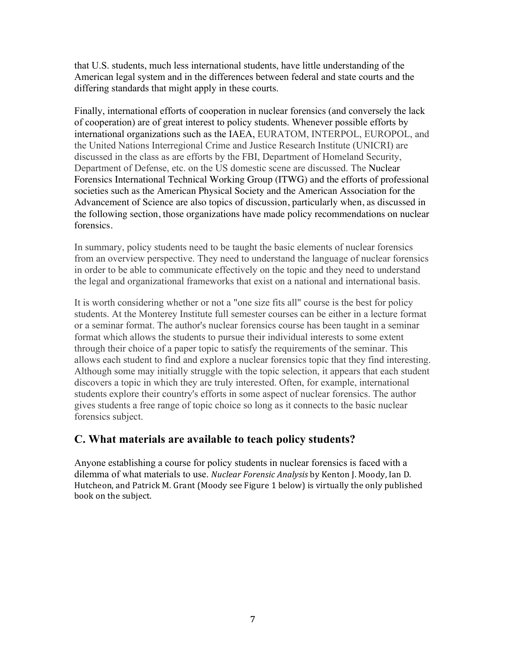that U.S. students, much less international students, have little understanding of the American legal system and in the differences between federal and state courts and the differing standards that might apply in these courts.

Finally, international efforts of cooperation in nuclear forensics (and conversely the lack of cooperation) are of great interest to policy students. Whenever possible efforts by international organizations such as the IAEA, EURATOM, INTERPOL, EUROPOL, and the United Nations Interregional Crime and Justice Research Institute (UNICRI) are discussed in the class as are efforts by the FBI, Department of Homeland Security, Department of Defense, etc. on the US domestic scene are discussed. The Nuclear Forensics International Technical Working Group (ITWG) and the efforts of professional societies such as the American Physical Society and the American Association for the Advancement of Science are also topics of discussion, particularly when, as discussed in the following section, those organizations have made policy recommendations on nuclear forensics.

In summary, policy students need to be taught the basic elements of nuclear forensics from an overview perspective. They need to understand the language of nuclear forensics in order to be able to communicate effectively on the topic and they need to understand the legal and organizational frameworks that exist on a national and international basis.

It is worth considering whether or not a "one size fits all" course is the best for policy students. At the Monterey Institute full semester courses can be either in a lecture format or a seminar format. The author's nuclear forensics course has been taught in a seminar format which allows the students to pursue their individual interests to some extent through their choice of a paper topic to satisfy the requirements of the seminar. This allows each student to find and explore a nuclear forensics topic that they find interesting. Although some may initially struggle with the topic selection, it appears that each student discovers a topic in which they are truly interested. Often, for example, international students explore their country's efforts in some aspect of nuclear forensics. The author gives students a free range of topic choice so long as it connects to the basic nuclear forensics subject.

## **C. What materials are available to teach policy students?**

Anyone establishing a course for policy students in nuclear forensics is faced with a dilemma of what materials to use. *Nuclear Forensic Analysis* by Kenton I. Moody, Ian D. Hutcheon, and Patrick M. Grant (Moody see Figure 1 below) is virtually the only published book on the subject.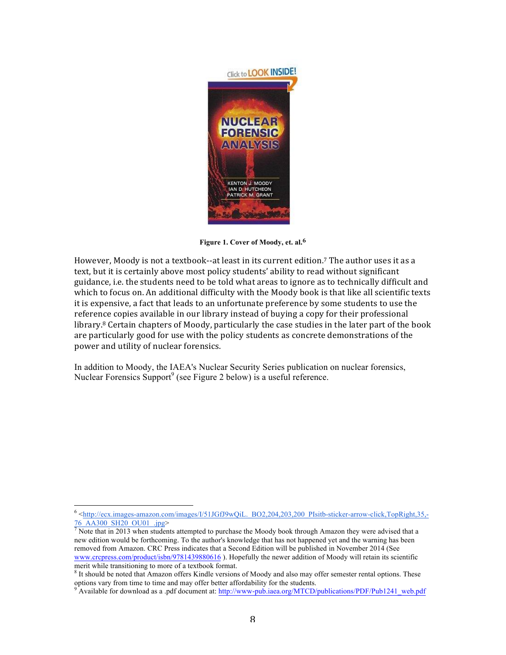

**Figure 1. Cover of Moody, et. al.6**

However, Moody is not a textbook--at least in its current edition.<sup>7</sup> The author uses it as a text, but it is certainly above most policy students' ability to read without significant guidance, i.e. the students need to be told what areas to ignore as to technically difficult and which to focus on. An additional difficulty with the Moody book is that like all scientific texts it is expensive, a fact that leads to an unfortunate preference by some students to use the reference copies available in our library instead of buying a copy for their professional library.<sup>8</sup> Certain chapters of Moody, particularly the case studies in the later part of the book are particularly good for use with the policy students as concrete demonstrations of the power and utility of nuclear forensics.

In addition to Moody, the IAEA's Nuclear Security Series publication on nuclear forensics, Nuclear Forensics Support<sup>9</sup> (see Figure 2 below) is a useful reference.

<sup>&</sup>lt;sup>6</sup> <http://ecx.images-amazon.com/images/I/51JGfJ9wQiL.\_BO2,204,203,200\_PIsitb-sticker-arrow-click,TopRight,35,-76 AA300 SH20 OU01 .jpg>

 $\sqrt{7}$  Note that in 2013 when students attempted to purchase the Moody book through Amazon they were advised that a new edition would be forthcoming. To the author's knowledge that has not happened yet and the warning has been removed from Amazon. CRC Press indicates that a Second Edition will be published in November 2014 (See www.crcpress.com/product/isbn/9781439880616 ). Hopefully the newer addition of Moody will retain its scientific merit while transitioning to more of a textbook format.<br><sup>8</sup> It should be noted that Amazon offers Kindle versions of Moody and also may offer semester rental options. These

options vary from time to time and may offer better affordability for the students.

Available for download as a .pdf document at: http://www-pub.iaea.org/MTCD/publications/PDF/Pub1241\_web.pdf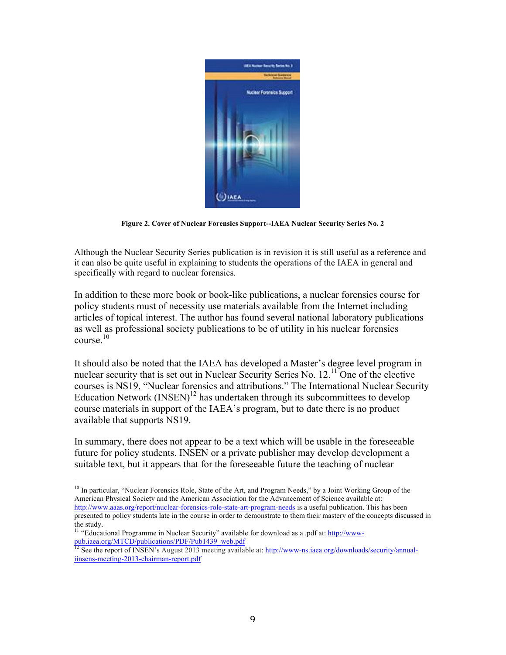

**Figure 2. Cover of Nuclear Forensics Support--IAEA Nuclear Security Series No. 2**

Although the Nuclear Security Series publication is in revision it is still useful as a reference and it can also be quite useful in explaining to students the operations of the IAEA in general and specifically with regard to nuclear forensics.

In addition to these more book or book-like publications, a nuclear forensics course for policy students must of necessity use materials available from the Internet including articles of topical interest. The author has found several national laboratory publications as well as professional society publications to be of utility in his nuclear forensics course $10$ 

It should also be noted that the IAEA has developed a Master's degree level program in nuclear security that is set out in Nuclear Security Series No. 12.<sup>11</sup> One of the elective courses is NS19, "Nuclear forensics and attributions." The International Nuclear Security Education Network  $(INSERT)^{12}$  has undertaken through its subcommittees to develop course materials in support of the IAEA's program, but to date there is no product available that supports NS19.

In summary, there does not appear to be a text which will be usable in the foreseeable future for policy students. INSEN or a private publisher may develop development a suitable text, but it appears that for the foreseeable future the teaching of nuclear

 $10$  In particular, "Nuclear Forensics Role, State of the Art, and Program Needs," by a Joint Working Group of the American Physical Society and the American Association for the Advancement of Science available at: http://www.aaas.org/report/nuclear-forensics-role-state-art-program-needs is a useful publication. This has been presented to policy students late in the course in order to demonstrate to them their mastery of the concepts discussed in the study.

<sup>&</sup>lt;sup>11</sup> "Educational Programme in Nuclear Security" available for download as a .pdf at: http://wwwpub.iaea.org/MTCD/publications/PDF/Pub1439\_web.pdf

<sup>&</sup>lt;sup>12</sup> See the report of INSEN's August 2013 meeting available at: http://www-ns.iaea.org/downloads/security/annualiinsens-meeting-2013-chairman-report.pdf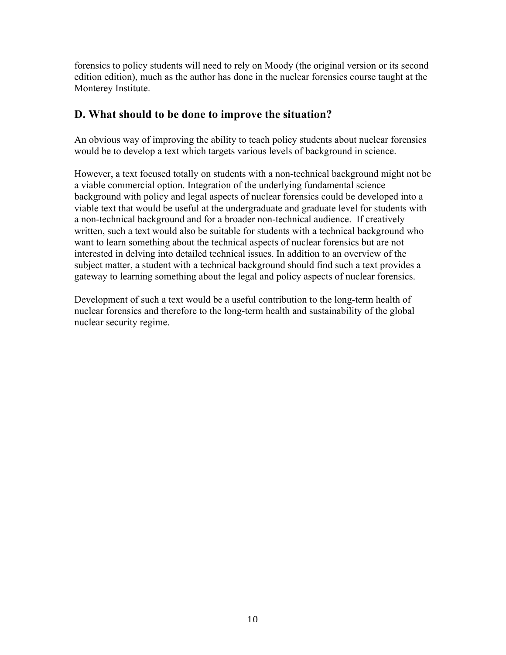forensics to policy students will need to rely on Moody (the original version or its second edition edition), much as the author has done in the nuclear forensics course taught at the Monterey Institute.

# **D. What should to be done to improve the situation?**

An obvious way of improving the ability to teach policy students about nuclear forensics would be to develop a text which targets various levels of background in science.

However, a text focused totally on students with a non-technical background might not be a viable commercial option. Integration of the underlying fundamental science background with policy and legal aspects of nuclear forensics could be developed into a viable text that would be useful at the undergraduate and graduate level for students with a non-technical background and for a broader non-technical audience. If creatively written, such a text would also be suitable for students with a technical background who want to learn something about the technical aspects of nuclear forensics but are not interested in delving into detailed technical issues. In addition to an overview of the subject matter, a student with a technical background should find such a text provides a gateway to learning something about the legal and policy aspects of nuclear forensics.

Development of such a text would be a useful contribution to the long-term health of nuclear forensics and therefore to the long-term health and sustainability of the global nuclear security regime.